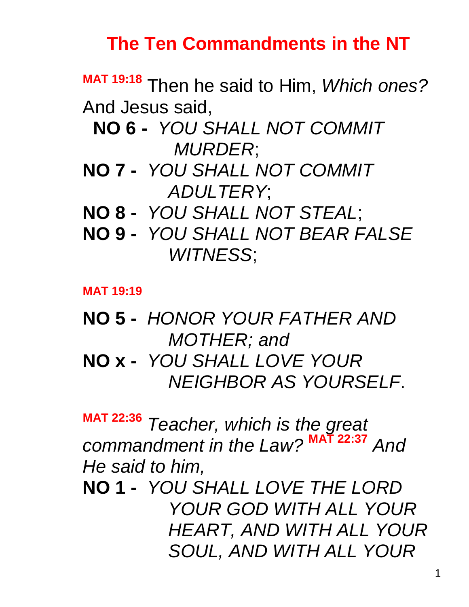# **The Ten Commandments in the NT**

**MAT 19:18** Then he said to Him, *Which ones?* And Jesus said,

**NO 6 -** *YOU SHALL NOT COMMIT MURDER*;

- **NO 7 -** *YOU SHALL NOT COMMIT ADULTERY*;
- **NO 8 -** *YOU SHALL NOT STEAL*;
- **NO 9 -** *YOU SHALL NOT BEAR FALSE WITNESS*;

**MAT 19:19**

- **NO 5 -** *HONOR YOUR FATHER AND MOTHER; and*
- **NO x -** *YOU SHALL LOVE YOUR NEIGHBOR AS YOURSELF*.

**MAT 22:36** *Teacher, which is the great commandment in the Law?* **MAT 22:37** *And He said to him,*

**NO 1 -** *YOU SHALL LOVE THE LORD YOUR GOD WITH ALL YOUR HEART, AND WITH ALL YOUR SOUL, AND WITH ALL YOUR*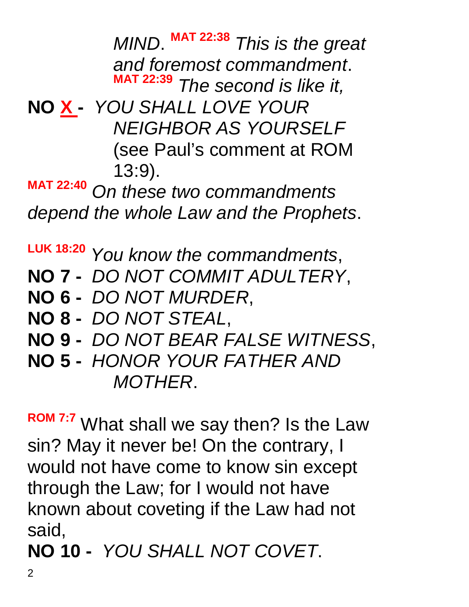*MIND*. MAT 22:38 This is the great *and foremost commandment*. **MAT 22:39** *The second is like it,*

**NO X -** *YOU SHALL LOVE YOUR NEIGHBOR AS YOURSELF* (see Paul's comment at ROM 13:9).

**MAT 22:40** *On these two commandments depend the whole Law and the Prophets*.

**LUK 18:20** *You know the commandments*, **NO 7 -** *DO NOT COMMIT ADULTERY*, **NO 6 -** *DO NOT MURDER*, **NO 8 -** *DO NOT STEAL*, **NO 9 -** *DO NOT BEAR FALSE WITNESS*, **NO 5 -** *HONOR YOUR FATHER AND MOTHER*.

**ROM 7:7** What shall we say then? Is the Law sin? May it never be! On the contrary, I would not have come to know sin except through the Law; for I would not have known about coveting if the Law had not said,

**NO 10 -** *YOU SHALL NOT COVET*.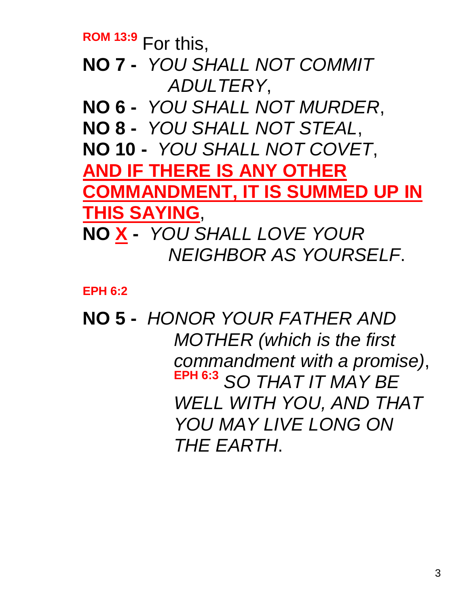**ROM 13:9** For this,

**NO 7 -** *YOU SHALL NOT COMMIT ADULTERY*,

**NO 6 -** *YOU SHALL NOT MURDER*,

**NO 8 -** *YOU SHALL NOT STEAL*,

**NO 10 -** *YOU SHALL NOT COVET*,

**AND IF THERE IS ANY OTHER COMMANDMENT, IT IS SUMMED UP IN THIS SAYING**,

**NO X -** *YOU SHALL LOVE YOUR NEIGHBOR AS YOURSELF*.

**EPH 6:2**

**NO 5 -** *HONOR YOUR FATHER AND MOTHER (which is the first commandment with a promise)*, **EPH 6:3** *SO THAT IT MAY BE WELL WITH YOU, AND THAT YOU MAY LIVE LONG ON THE EARTH*.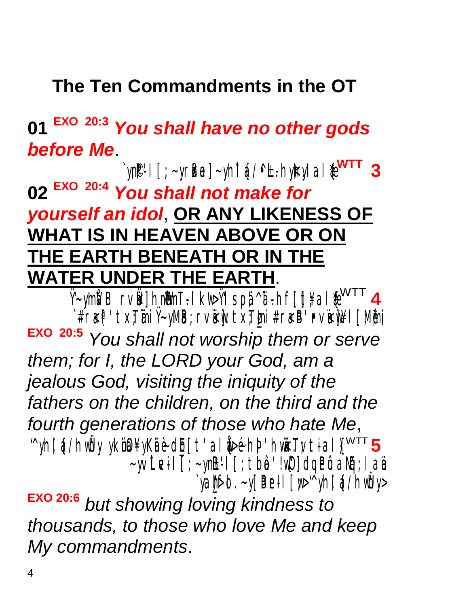# The Ten Commandments in the OT

01<sup>EXO 20:3</sup> You shall have no other gods **before Me** 

 $\gamma$ <sub>1</sub>  $P$ -1 [; ~yrkea] ~yhil {a/  $\triangle$  <del>| b</del> hy}ayl a l $\alpha$ <sup>WTT</sup> 3 02<sup>EXO 20:4</sup> You shall not make for yourself an idol, OR ANY LIKENESS OF **WHAT IS IN HEAVEN ABOVE OR ON** THE EARTH BENEATH OR IN THE **WATER UNDER THE EARTH.** 

Ÿ~ymð/B rvið]hm\mT-lk\>Ÿlspǎ^i-hf[t¥al{e<sup>WTT</sup>4 `#rafi'tx;Tini Ÿ~yMB; rviajr.tx;Tini #raB'rvajni I [Mêni **EXO 20:5** You shall not worship them or serve them; for I, the LORD your God, am a jealous God, visiting the iniquity of the fathers on the children, on the third and the fourth generations of those who hate Me, "yh1 {a/ hwby ykioh\ykie-db[t'al(>éh|t'hwik.Ty.tial)<sup>WTT</sup>5  $\sim$ yvL $\bm{v}$ il [;  $\sim$ yn $\bm{B}$ -l [; tb $\bm{\hat{a}}$ ' !w([] dq $\bm{P}\hat{\bm{u}}$  al $\bm{\hat{c}}$ ); la $\bm{\hat{a}}$  $\gamma a \hbar f d$ .  $\sim$ y [Bell [n>'' $\gamma$ h,1 {a/ hwhy> **EXO 20:6** but showing loving kindness to thousands, to those who love Me and keep My commandments.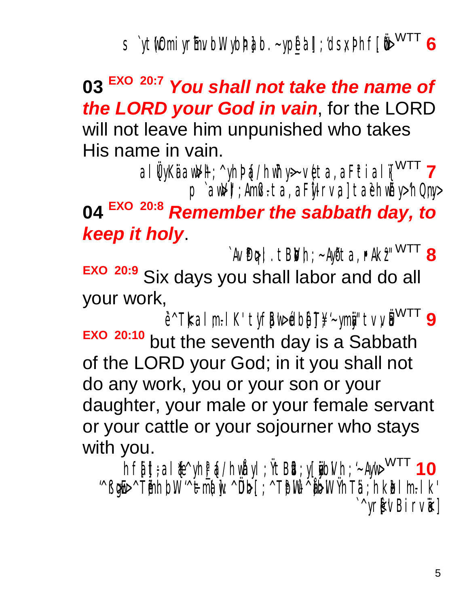s `ytwtmi yrmvd W ybhbd. ~ypidal; 'dsxphf,[ii> $WTT$  6

03<sup>EXO 20:7</sup> You shall not take the name of the LORD your God in vain, for the LORD will not leave him unpunished who takes His name in vain.

 $a$ l $\psi$ Käaw $\Psi$ ; 'yh# $a$ /hwhy>~v $b$ ta, aF $a$ ial $\psi$ <sup>WTT</sup> 7 p `awV); AmBv-ta, aFV-rval taehwhy>'hQny>

04<sup>EXO 20:8</sup> Remember the sabbath day, to keep it holy

 $\lambda$ N $\theta$ g;I.tB $\psi$ h; ~Ayðta,  $\mathsf{fA}$ K $\chi^{\mathsf{u}\,\text{WTT}}$  8

EXO 20:9 Six days you shall labor and do all your work,

è^Tkalm-IK'tyflld>édbl∏¥'~ymi"tvvi WTT9 EXO 20:10 but the seventh day is a Sabbath of the LORD your God; in it you shall not do any work, you or your son or your daughter, your male or your female servant or your cattle or your sojourner who stays with you.

hf{]t;al{e^yh{}&/hwhyl;ŸtB&;y[jibMh;'~Ayil><sup>WTT</sup>10<br>"^&glib^T@hhbW"#m@jk^"Db.[;^TBIN+^jibWYhTa;hk&Im-Ik" `^yr{VBi rväl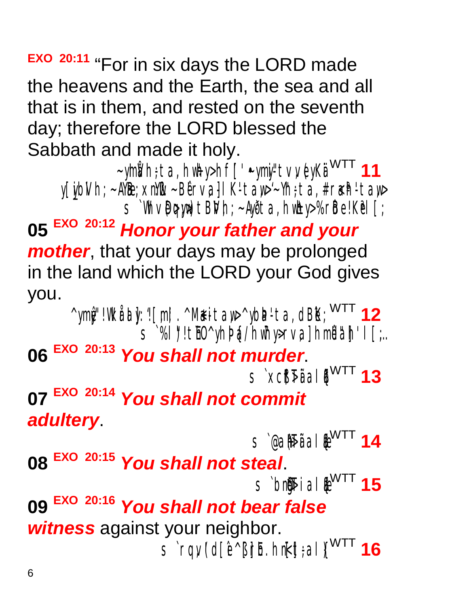EXO 20:11 "For in six days the LORD made the heavens and the Earth, the sea and all that is in them, and rested on the seventh day; therefore the LORD blessed the Sabbath and made it holy.

~ymi/h;ta, hwhy>hf[' ~ymiy"tv,vevKä WTT 11 y[ibNh; ~AYB; xnYr: ~Berva}IK-tap>'~Yh;ta, #rah-tap> s `Whvpaywa) tBN/h; ~Ayota, hwby>%rBe!Kel[;

05<sup>EXO 20:12</sup> Honor your father and your **mother**, that your days may be prolonged in the land which the LORD your God gives you.

 $\gamma$ ym $\hat{y}$ "!Wkirby: '![m.1.  $\gamma$ Maitaw $\gamma$ ybb'-ta, dBK;  $WTT$  12  $S \sqrt{8}$ l)!th $0^{\prime}$ yh|| a/hwhy>rva]hma'ah'l[;..

06<sup>EXO 20:13</sup> You shall not murder

07<sup>EXO 20:14</sup> You shall not commit **adultery** 

 $S$  eat  $\overline{A}$  al  $\mathbf{\hat{t}}^{WTT}$  14

08<sup>EXO 20:15</sup> You shall not steal

s `bn $\frac{1}{3}$ i al $\frac{1}{6}$ <sup>WTT</sup> 15

09<sup>EXO 20:16</sup> You shall not bear false witness against your neighbor. s `rqv(d[ $\hat{e}$ ^{[rb. hn\{t} al}<sup>WTT</sup> 16

S `XCO\Jialb<sup>WTT</sup> 13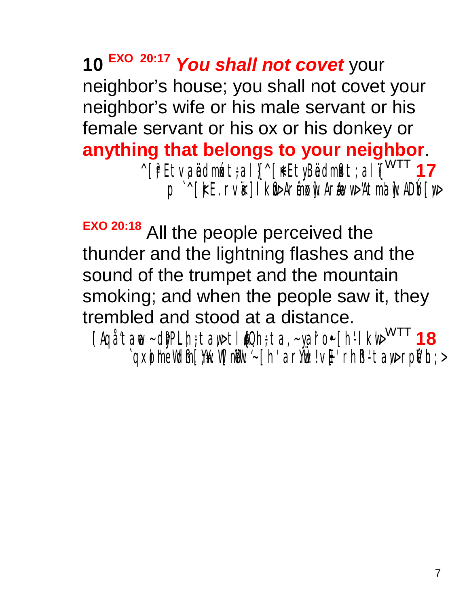10<sup>EXO 20:17</sup> You shall not covet your neighbor's house; you shall not covet your neighbor's wife or his male servant or his female servant or his ox or his donkey or anything that belongs to your neighbor <sup>^</sup>[if tva i dmat; al l ^ [ F t v B i dm k t; al l v<sup>VTT</sup> 17 p `^[}:|| rva] | kibaranovi: Aravu>'Atmajı: ADD:[ju>

EXO 20:18 All the people perceived the thunder and the lightning flashes and the sound of the trumpet and the mountain smoking; and when the people saw it, they trembled and stood at a distance.

(Aqå'ta v-dipPLh; ta v>tl@uh; ta, ~yaro ~ [h'lklv><sup>WTT</sup> 18 `qx)rme\ldim.[})k \l[nilk`'~[h'ar)'w !v{'rhh-tap>rpiVh; >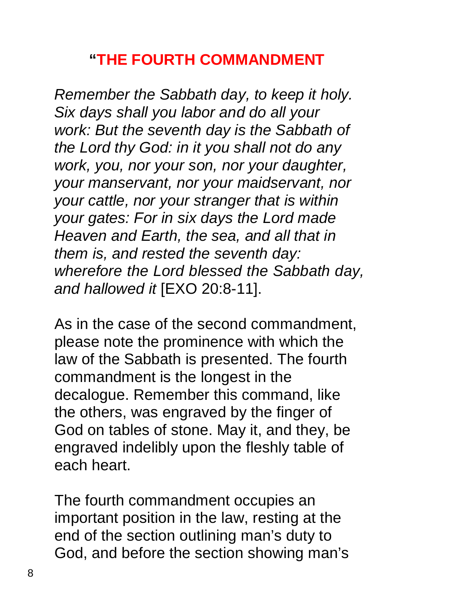#### **"THE FOURTH COMMANDMENT**

*Remember the Sabbath day, to keep it holy. Six days shall you labor and do all your work: But the seventh day is the Sabbath of the Lord thy God: in it you shall not do any work, you, nor your son, nor your daughter, your manservant, nor your maidservant, nor your cattle, nor your stranger that is within your gates: For in six days the Lord made Heaven and Earth, the sea, and all that in them is, and rested the seventh day: wherefore the Lord blessed the Sabbath day, and hallowed it* [EXO 20:8-11].

As in the case of the second commandment, please note the prominence with which the law of the Sabbath is presented. The fourth commandment is the longest in the decalogue. Remember this command, like the others, was engraved by the finger of God on tables of stone. May it, and they, be engraved indelibly upon the fleshly table of each heart.

The fourth commandment occupies an important position in the law, resting at the end of the section outlining man's duty to God, and before the section showing man's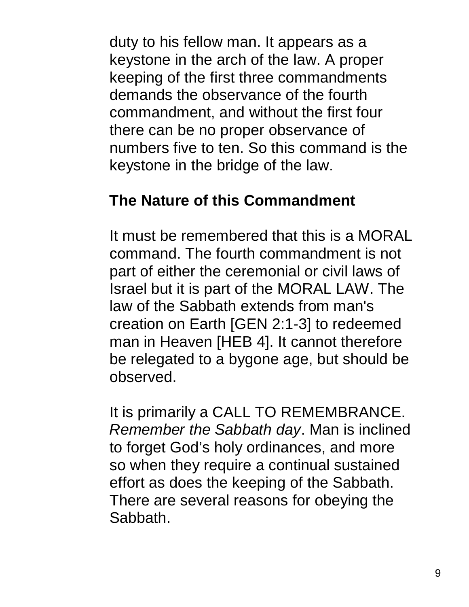duty to his fellow man. It appears as a keystone in the arch of the law. A proper keeping of the first three commandments demands the observance of the fourth commandment, and without the first four there can be no proper observance of numbers five to ten. So this command is the keystone in the bridge of the law.

### **The Nature of this Commandment**

It must be remembered that this is a MORAL command. The fourth commandment is not part of either the ceremonial or civil laws of Israel but it is part of the MORAL LAW. The law of the Sabbath extends from man's creation on Earth [GEN 2:1-3] to redeemed man in Heaven [HEB 4]. It cannot therefore be relegated to a bygone age, but should be observed.

It is primarily a CALL TO REMEMBRANCE. *Remember the Sabbath day*. Man is inclined to forget God's holy ordinances, and more so when they require a continual sustained effort as does the keeping of the Sabbath. There are several reasons for obeying the Sabbath.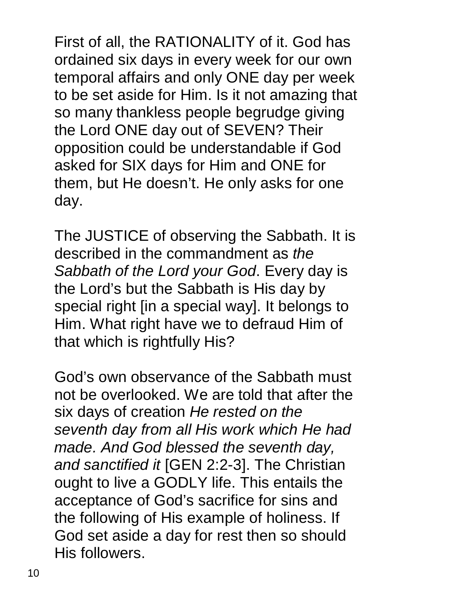First of all, the RATIONALITY of it. God has ordained six days in every week for our own temporal affairs and only ONE day per week to be set aside for Him. Is it not amazing that so many thankless people begrudge giving the Lord ONE day out of SEVEN? Their opposition could be understandable if God asked for SIX days for Him and ONE for them, but He doesn't. He only asks for one day.

The JUSTICE of observing the Sabbath. It is described in the commandment as *the Sabbath of the Lord your God*. Every day is the Lord's but the Sabbath is His day by special right [in a special way]. It belongs to Him. What right have we to defraud Him of that which is rightfully His?

God's own observance of the Sabbath must not be overlooked. We are told that after the six days of creation *He rested on the seventh day from all His work which He had made. And God blessed the seventh day, and sanctified it* [GEN 2:2-3]. The Christian ought to live a GODLY life. This entails the acceptance of God's sacrifice for sins and the following of His example of holiness. If God set aside a day for rest then so should His followers.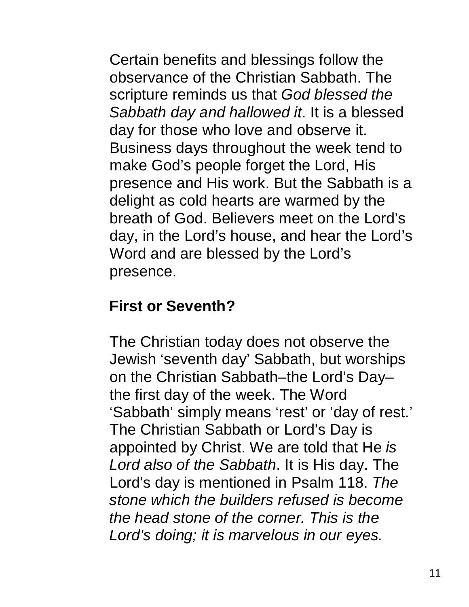Certain benefits and blessings follow the observance of the Christian Sabbath. The scripture reminds us that *God blessed the Sabbath day and hallowed it*. It is a blessed day for those who love and observe it. Business days throughout the week tend to make God's people forget the Lord, His presence and His work. But the Sabbath is a delight as cold hearts are warmed by the breath of God. Believers meet on the Lord's day, in the Lord's house, and hear the Lord's Word and are blessed by the Lord's presence.

#### **First or Seventh?**

The Christian today does not observe the Jewish 'seventh day' Sabbath, but worships on the Christian Sabbath–the Lord's Day– the first day of the week. The Word 'Sabbath' simply means 'rest' or 'day of rest.' The Christian Sabbath or Lord's Day is appointed by Christ. We are told that He *is Lord also of the Sabbath*. It is His day. The Lord's day is mentioned in Psalm 118. *The stone which the builders refused is become the head stone of the corner. This is the Lord's doing; it is marvelous in our eyes.*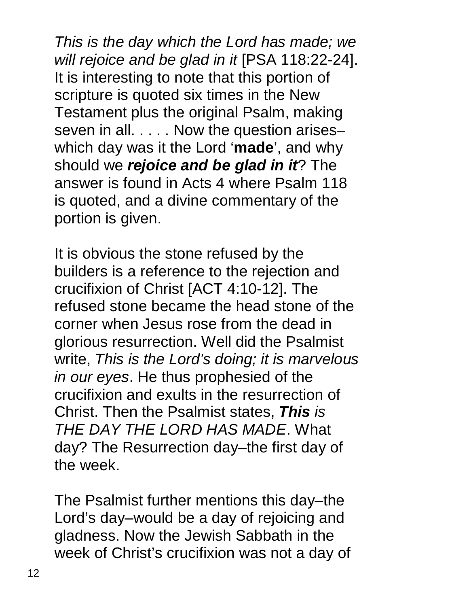*This is the day which the Lord has made; we will rejoice and be glad in it* [PSA 118:22-24]. It is interesting to note that this portion of scripture is quoted six times in the New Testament plus the original Psalm, making seven in all. . . . . Now the question ariseswhich day was it the Lord '**made**' , and why should we *rejoice and be glad in it*? The answer is found in Acts 4 where Psalm 118 is quoted, and a divine commentary of the portion is given.

It is obvious the stone refused by the builders is a reference to the rejection and crucifixion of Christ [ACT 4:10-12]. The refused stone became the head stone of the corner when Jesus rose from the dead in glorious resurrection. Well did the Psalmist write, *This is the Lord's doing; it is marvelous in our eyes*. He thus prophesied of the crucifixion and exults in the resurrection of Christ. Then the Psalmist states, *This is THE DAY THE LORD HAS MADE*. What day? The Resurrection day–the first day of the week.

The Psalmist further mentions this day–the Lord's day–would be a day of rejoicing and gladness. Now the Jewish Sabbath in the week of Christ's crucifixion was not a day of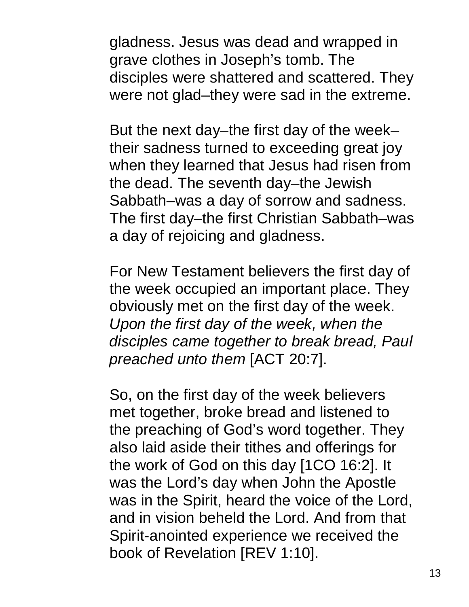gladness. Jesus was dead and wrapped in grave clothes in Joseph's tomb. The disciples were shattered and scattered. They were not glad–they were sad in the extreme.

But the next day–the first day of the week– their sadness turned to exceeding great joy when they learned that Jesus had risen from the dead. The seventh day–the Jewish Sabbath–was a day of sorrow and sadness. The first day–the first Christian Sabbath–was a day of rejoicing and gladness.

For New Testament believers the first day of the week occupied an important place. They obviously met on the first day of the week. *Upon the first day of the week, when the disciples came together to break bread, Paul preached unto them* [ACT 20:7].

So, on the first day of the week believers met together, broke bread and listened to the preaching of God's word together. They also laid aside their tithes and offerings for the work of God on this day [1CO 16:2]. It was the Lord's day when John the Apostle was in the Spirit, heard the voice of the Lord, and in vision beheld the Lord. And from that Spirit-anointed experience we received the book of Revelation [REV 1:10].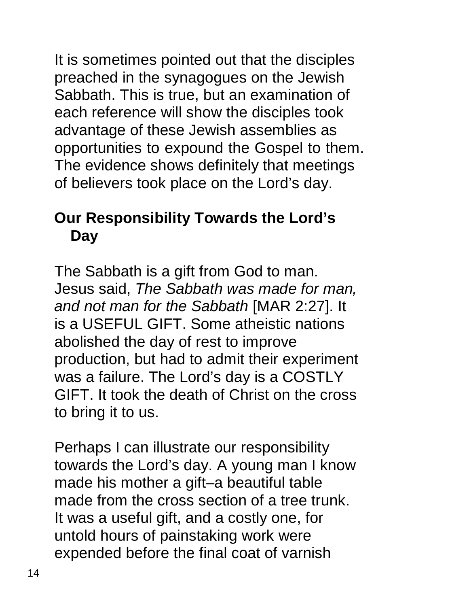It is sometimes pointed out that the disciples preached in the synagogues on the Jewish Sabbath. This is true, but an examination of each reference will show the disciples took advantage of these Jewish assemblies as opportunities to expound the Gospel to them. The evidence shows definitely that meetings of believers took place on the Lord's day.

### **Our Responsibility Towards the Lord's Day**

The Sabbath is a gift from God to man. Jesus said, *The Sabbath was made for man, and not man for the Sabbath* [MAR 2:27]. It is a USEFUL GIFT. Some atheistic nations abolished the day of rest to improve production, but had to admit their experiment was a failure. The Lord's day is a COSTLY GIFT. It took the death of Christ on the cross to bring it to us.

Perhaps I can illustrate our responsibility towards the Lord's day. A young man I know made his mother a gift–a beautiful table made from the cross section of a tree trunk. It was a useful gift, and a costly one, for untold hours of painstaking work were expended before the final coat of varnish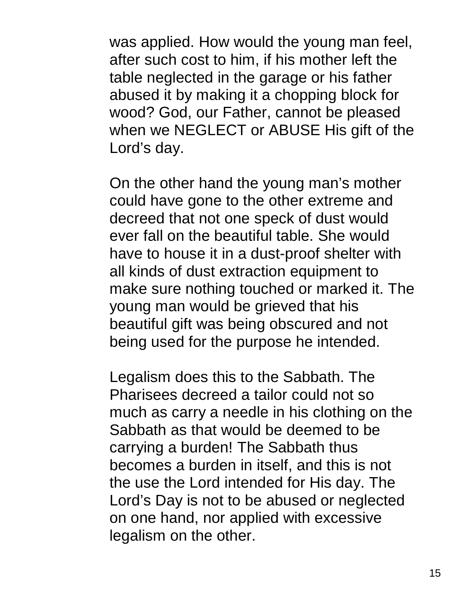was applied. How would the young man feel, after such cost to him, if his mother left the table neglected in the garage or his father abused it by making it a chopping block for wood? God, our Father, cannot be pleased when we NEGLECT or ABUSE His gift of the Lord's day.

On the other hand the young man's mother could have gone to the other extreme and decreed that not one speck of dust would ever fall on the beautiful table. She would have to house it in a dust-proof shelter with all kinds of dust extraction equipment to make sure nothing touched or marked it. The young man would be grieved that his beautiful gift was being obscured and not being used for the purpose he intended.

Legalism does this to the Sabbath. The Pharisees decreed a tailor could not so much as carry a needle in his clothing on the Sabbath as that would be deemed to be carrying a burden! The Sabbath thus becomes a burden in itself, and this is not the use the Lord intended for His day. The Lord's Day is not to be abused or neglected on one hand, nor applied with excessive legalism on the other.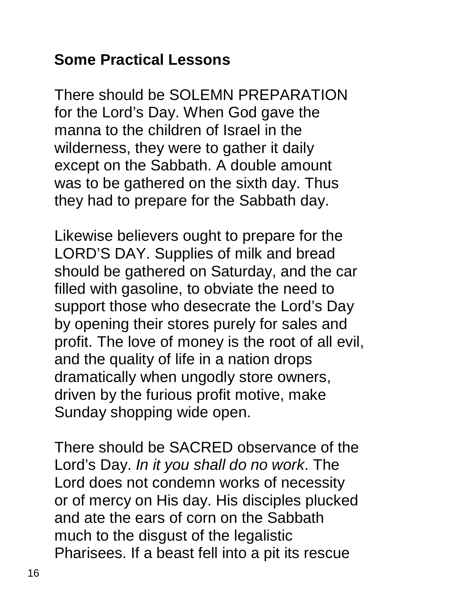### **Some Practical Lessons**

There should be SOLEMN PREPARATION for the Lord's Day. When God gave the manna to the children of Israel in the wilderness, they were to gather it daily except on the Sabbath. A double amount was to be gathered on the sixth day. Thus they had to prepare for the Sabbath day.

Likewise believers ought to prepare for the LORD'S DAY. Supplies of milk and bread should be gathered on Saturday, and the car filled with gasoline, to obviate the need to support those who desecrate the Lord's Day by opening their stores purely for sales and profit. The love of money is the root of all evil, and the quality of life in a nation drops dramatically when ungodly store owners, driven by the furious profit motive, make Sunday shopping wide open.

There should be SACRED observance of the Lord's Day. *In it you shall do no work*. The Lord does not condemn works of necessity or of mercy on His day. His disciples plucked and ate the ears of corn on the Sabbath much to the disgust of the legalistic Pharisees. If a beast fell into a pit its rescue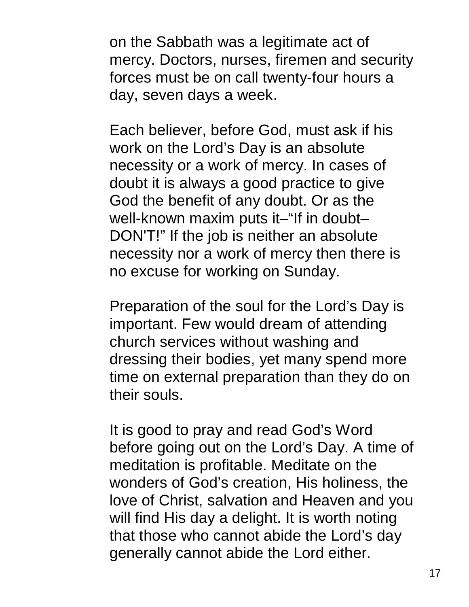on the Sabbath was a legitimate act of mercy. Doctors, nurses, firemen and security forces must be on call twenty-four hours a day, seven days a week.

Each believer, before God, must ask if his work on the Lord's Day is an absolute necessity or a work of mercy. In cases of doubt it is always a good practice to give God the benefit of any doubt. Or as the well-known maxim puts it-"If in doubt-DON'T!" If the job is neither an absolute necessity nor a work of mercy then there is no excuse for working on Sunday.

Preparation of the soul for the Lord's Day is important. Few would dream of attending church services without washing and dressing their bodies, yet many spend more time on external preparation than they do on their souls.

It is good to pray and read God's Word before going out on the Lord's Day. A time of meditation is profitable. Meditate on the wonders of God's creation, His holiness, the love of Christ, salvation and Heaven and you will find His day a delight. It is worth noting that those who cannot abide the Lord's day generally cannot abide the Lord either.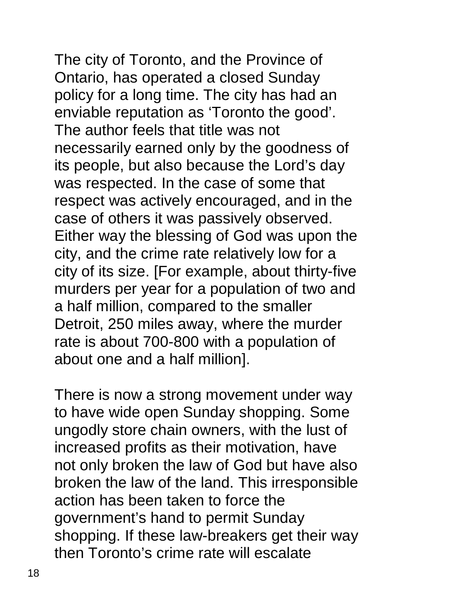The city of Toronto, and the Province of Ontario, has operated a closed Sunday policy for a long time. The city has had an enviable reputation as 'Toronto the good'. The author feels that title was not necessarily earned only by the goodness of its people, but also because the Lord's day was respected. In the case of some that respect was actively encouraged, and in the case of others it was passively observed. Either way the blessing of God was upon the city, and the crime rate relatively low for a city of its size. [For example, about thirty-five murders per year for a population of two and a half million, compared to the smaller Detroit, 250 miles away, where the murder rate is about 700-800 with a population of about one and a half million].

There is now a strong movement under way to have wide open Sunday shopping. Some ungodly store chain owners, with the lust of increased profits as their motivation, have not only broken the law of God but have also broken the law of the land. This irresponsible action has been taken to force the government's hand to permit Sunday shopping. If these law-breakers get their way then Toronto's crime rate will escalate